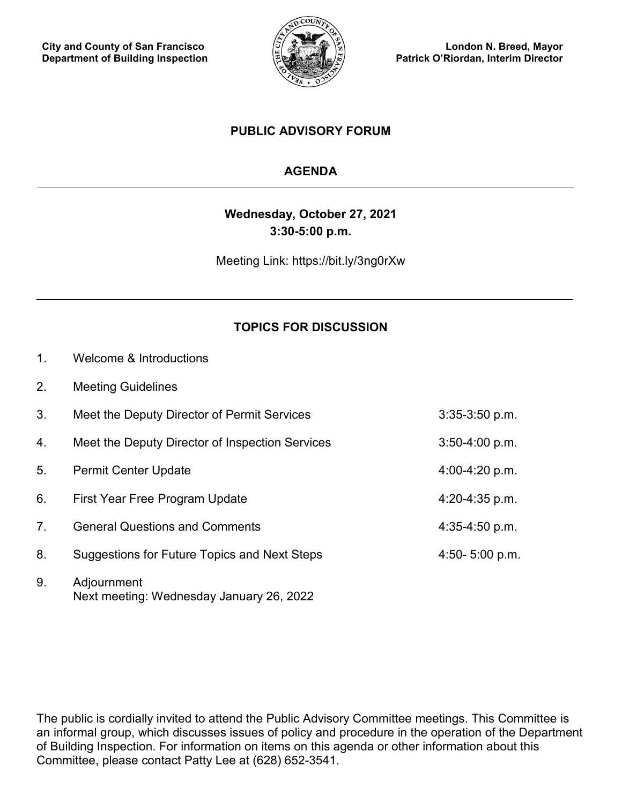

**London N. Breed, Mayor Patrick O'Riordan, Interim Director**

### **PUBLIC ADVISORY FORUM**

## **AGENDA**

# **Wednesday, October 27, 2021 3:30-5:00 p.m.**

Meeting Link: https://bit.ly/3ng0rXw

## **TOPICS FOR DISCUSSION**

- 1. Welcome & Introductions
- 2. Meeting Guidelines

| 3.                              | Meet the Deputy Director of Permit Services     | $3:35-3:50$ p.m.   |
|---------------------------------|-------------------------------------------------|--------------------|
| 4.                              | Meet the Deputy Director of Inspection Services | $3:50-4:00 p.m.$   |
| 5.                              | <b>Permit Center Update</b>                     | 4:00-4:20 p.m.     |
| 6.                              | First Year Free Program Update                  | $4:20 - 4:35$ p.m. |
| $7_{\scriptscriptstyle{\circ}}$ | <b>General Questions and Comments</b>           | $4:35-4:50$ p.m.   |
| 8.                              | Suggestions for Future Topics and Next Steps    | 4:50- $5:00$ p.m.  |
|                                 |                                                 |                    |

9. Adjournment Next meeting: Wednesday January 26, 2022

The public is cordially invited to attend the Public Advisory Committee meetings. This Committee is an informal group, which discusses issues of policy and procedure in the operation of the Department of Building Inspection. For information on items on this agenda or other information about this Committee, please contact Patty Lee at (628) 652-3541.